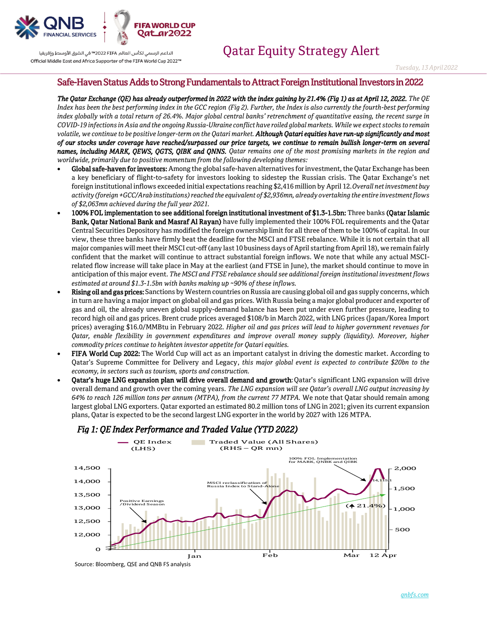

الداعم الرسمى لكأس العالم PIFA≤™2022 تفى الشرق الأوسط وإفريقيا  *Tuesday, <sup>13</sup> April2022*

### Safe-Haven Status Adds to Strong Fundamentals to Attract Foreign Institutional Investors in 2022

*The Qatar Exchange (QE) has already outperformed in 2022 with the index gaining by 21.4% (Fig 1) as at April 12, 2022. The QE Index has been the best performing index in the GCC region (Fig 2). Further, the Index is also currently the fourth-best performing index globally with a total return of 26.4%. Major global central banks' retrenchment of quantitative easing, the recent surge in COVID-19 infections in Asia and the ongoing Russia-Ukraine conflict have roiled global markets. While we expect stocks to remain volatile, we continue to be positive longer-term on the Qatari market. Although Qatari equities have run-up significantly and most of our stocks under coverage have reached/surpassed our price targets, we continue to remain bullish longer-term on several names, including MARK, QEWS, QGTS, QIBK and QNNS. Qatar remains one of the most promising markets in the region and worldwide, primarily due to positive momentum from the following developing themes:*

- Global safe-haven for investors: Among the global safe-haven alternatives for investment, the Qatar Exchange has been a key beneficiary of flight-to-safety for investors looking to sidestep the Russian crisis. The Qatar Exchange's net foreign institutional inflows exceeded initial expectations reaching \$2,416 million by April 12.*Overall net investment buy activity (foreign +GCC/Arab institutions)reached the equivalent of \$2,936mn, already overtaking the entire investment flows of \$2,063mn achieved during the full year 2021.*
- 100% FOL implementation to see additional foreign institutional investment of \$1.3-1.5bn: Three banks (Qatar Islamic Bank, Qatar National Bank and Masraf Al Rayan) have fully implemented their 100% FOL requirements and the Qatar Central Securities Depository has modified the foreign ownership limit for all three of them to be 100% of capital. In our view, these three banks have firmly beat the deadline for the MSCI and FTSE rebalance. While it is not certain that all major companies will meet their MSCI cut-off (any last 10 business days of April starting from April 18), we remain fairly confident that the market will continue to attract substantial foreign inflows. We note that while any actual MSCIrelated flow increase will take place in May at the earliest (and FTSE in June), the market should continue to move in anticipation of this major event. *The MSCI and FTSE rebalance should see additional foreign institutional investment flows estimated at around \$1.3-1.5bn with banks making up ~90% of these inflows.*
- Rising oil and gas prices: Sanctions by Western countries on Russia are causing global oil and gas supply concerns, which in turn are having a major impact on global oil and gas prices. With Russia being a major global producer and exporter of gas and oil, the already uneven global supply-demand balance has been put under even further pressure, leading to record high oil and gas prices. Brent crude prices averaged \$108/b in March 2022, with LNG prices (Japan/Korea Import prices) averaging \$16.0/MMBtu in February 2022. *Higher oil and gas prices will lead to higher government revenues for Qatar, enable flexibility in government expenditures and improve overall money supply (liquidity). Moreover, higher commodity prices continue to heighten investor appetite for Qatari equities.*
- FIFA World Cup 2022: The World Cup will act as an important catalyst in driving the domestic market. According to Qatar's Supreme Committee for Delivery and Legacy, *this major global event is expected to contribute \$20bn to the economy, in sectors such as tourism, sports and construction.*
- Qatar's huge LNG expansion plan will drive overall demand and growth: Qatar's significant LNG expansion will drive overall demand and growth over the coming years. *The LNG expansion will see Qatar's overall LNG output increasing by 64% to reach 126 million tons per annum (MTPA), from the current 77 MTPA.* We note that Qatar should remain among largest global LNG exporters. Qatar exported an estimated 80.2 million tons of LNG in 2021; given its current expansion plans, Qatar is expected to be the second largest LNG exporter in the world by 2027 with 126 MTPA.



# *Fig 1: QE Index Performance and Traded Value (YTD 2022)*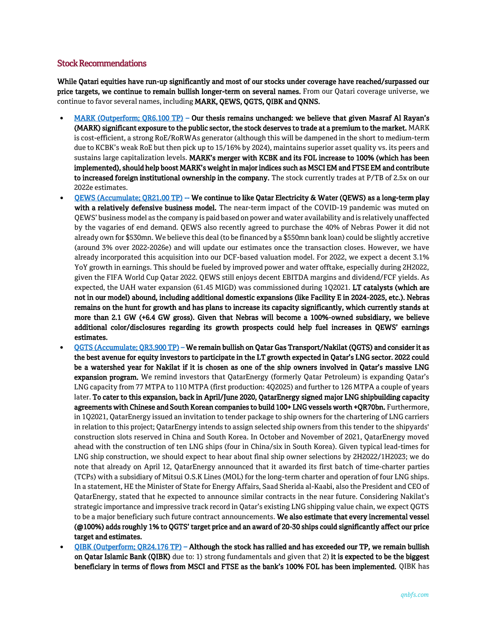#### Stock Recommendations

While Qatari equities have run-up significantly and most of our stocks under coverage have reached/surpassed our price targets, we continue to remain bullish longer-term on several names. From our Qatari coverage universe, we continue to favor several names, including MARK, QEWS, QGTS, QIBK and QNNS.

- [MARK \(Outperform; QR6.100 TP\)](https://www.qnb.com/sites/qnb/qnbfs/document/en/MARK-01-12-2021)  Our thesis remains unchanged: we believe that given Masraf Al Rayan's (MARK) significant exposure to the public sector, the stock deserves to trade at a premium to the market. MARK is cost-efficient, a strong RoE/RoRWAs generator (although this will be dampened in the short to medium-term due to KCBK's weak RoE but then pick up to 15/16% by 2024), maintains superior asset quality vs. its peers and sustains large capitalization levels. MARK's merger with KCBK and its FOL increase to 100% (which has been implemented), should help boost MARK's weight in major indices such as MSCI EM and FTSE EM and contribute to increased foreign institutional ownership in the company. The stock currently trades at P/TB of 2.5x on our 2022e estimates.
- [QEWS \(Accumulate; QR21.00 TP\)](https://www.qnb.com/sites/qnb/qnbfs/document/en/QEWS-23-02-2022) -- We continue to like Qatar Electricity & Water (QEWS) as a long-term play with a relatively defensive business model. The near-term impact of the COVID-19 pandemic was muted on QEWS' business model as the company is paid based on power and water availability and is relatively unaffected by the vagaries of end demand. QEWS also recently agreed to purchase the 40% of Nebras Power it did not already own for \$530mn. We believe this deal (to be financed by a \$550mn bank loan) could be slightly accretive (around 3% over 2022-2026e) and will update our estimates once the transaction closes. However, we have already incorporated this acquisition into our DCF-based valuation model. For 2022, we expect a decent 3.1% YoY growth in earnings. This should be fueled by improved power and water offtake, especially during 2H2022, given the FIFA World Cup Qatar 2022. QEWS still enjoys decent EBITDA margins and dividend/FCF yields. As expected, the UAH water expansion (61.45 MIGD) was commissioned during 1Q2021. LT catalysts (which are not in our model) abound, including additional domestic expansions (like Facility E in 2024-2025, etc.). Nebras remains on the hunt for growth and has plans to increase its capacity significantly, which currently stands at more than 2.1 GW (+6.4 GW gross). Given that Nebras will become a 100%-owned subsidiary, we believe additional color/disclosures regarding its growth prospects could help fuel increases in QEWS' earnings estimates.
- [QGTS \(Accumulate; QR3.900 TP\)](https://www.qnb.com/sites/qnb/qnbfs/document/en/QGTS-03-03-2022)  We remain bullish on Qatar Gas Transport/Nakilat (QGTS) and consider it as the best avenue for equity investors to participate in the LT growth expected in Qatar's LNG sector. 2022 could be a watershed year for Nakilat if it is chosen as one of the ship owners involved in Qatar's massive LNG expansion program. We remind investors that QatarEnergy (formerly Qatar Petroleum) is expanding Qatar's LNG capacity from 77 MTPA to 110 MTPA (first production: 4Q2025) and further to 126 MTPA a couple of years later. To cater to this expansion, back in April/June 2020, QatarEnergy signed major LNG shipbuilding capacity agreements with Chinese and South Korean companies to build 100+ LNG vessels worth +QR70bn. Furthermore, in 1Q2021, QatarEnergy issued an invitation to tender package to ship owners for the chartering of LNG carriers in relation to this project; QatarEnergy intends to assign selected ship owners from this tender to the shipyards' construction slots reserved in China and South Korea. In October and November of 2021, QatarEnergy moved ahead with the construction of ten LNG ships (four in China/six in South Korea). Given typical lead-times for LNG ship construction, we should expect to hear about final ship owner selections by 2H2022/1H2023; we do note that already on April 12, QatarEnergy announced that it awarded its first batch of time-charter parties (TCPs) with a subsidiary of Mitsui O.S.K Lines (MOL) for the long-term charter and operation of four LNG ships. In a statement, HE the Minister of State for Energy Affairs, Saad Sherida al-Kaabi, also the President and CEO of QatarEnergy, stated that he expected to announce similar contracts in the near future. Considering Nakilat's strategic importance and impressive track record in Qatar's existing LNG shipping value chain, we expect QGTS to be a major beneficiary such future contract announcements. We also estimate that every incremental vessel (@100%) adds roughly 1% to QGTS' target price and an award of 20-30 ships could significantly affect our price target and estimates.
- [QIBK \(Outperform; QR24.176 TP\)](https://www.qnb.com/sites/qnb/qnbfs/document/en/QIBK-02-02-2022)  Although the stock has rallied and has exceeded our TP, we remain bullish on Qatar Islamic Bank (QIBK) due to: 1) strong fundamentals and given that 2) it is expected to be the biggest beneficiary in terms of flows from MSCI and FTSE as the bank's 100% FOL has been implemented. QIBK has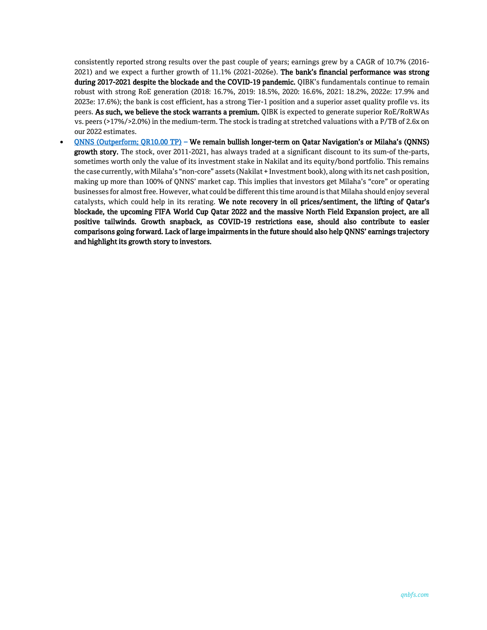consistently reported strong results over the past couple of years; earnings grew by a CAGR of 10.7% (2016- 2021) and we expect a further growth of 11.1% (2021-2026e). The bank's financial performance was strong during 2017-2021 despite the blockade and the COVID-19 pandemic. QIBK's fundamentals continue to remain robust with strong RoE generation (2018: 16.7%, 2019: 18.5%, 2020: 16.6%, 2021: 18.2%, 2022e: 17.9% and 2023e: 17.6%); the bank is cost efficient, has a strong Tier-1 position and a superior asset quality profile vs. its peers. As such, we believe the stock warrants a premium. QIBK is expected to generate superior RoE/RoRWAs vs. peers (>17%/>2.0%) in the medium-term. The stock is trading at stretched valuations with a P/TB of 2.6x on our 2022 estimates.

• ONNS (Outperform; QR10.00 TP) – We remain bullish longer-term on Qatar Navigation's or Milaha's (QNNS) growth story. The stock, over 2011-2021, has always traded at a significant discount to its sum-of the-parts, sometimes worth only the value of its investment stake in Nakilat and its equity/bond portfolio. This remains the case currently, with Milaha's "non-core" assets (Nakilat + Investment book), along with its net cash position, making up more than 100% of QNNS' market cap. This implies that investors get Milaha's "core" or operating businesses for almost free. However, what could be different this time around is that Milaha should enjoy several catalysts, which could help in its rerating. We note recovery in oil prices/sentiment, the lifting of Qatar's blockade, the upcoming FIFA World Cup Qatar 2022 and the massive North Field Expansion project, are all positive tailwinds. Growth snapback, as COVID-19 restrictions ease, should also contribute to easier comparisons going forward. Lack of large impairments in the future should also help QNNS' earnings trajectory and highlight its growth story to investors.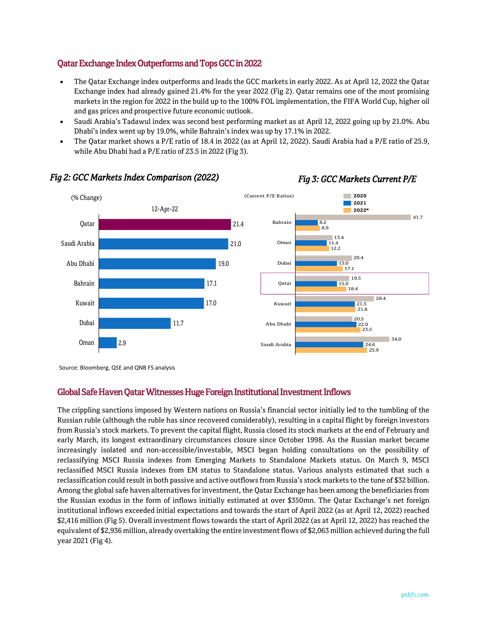# Qatar Exchange Index Outperforms and Tops GCC in 2022

- The Qatar Exchange index outperforms and leads the GCC markets in early 2022. As at April 12, 2022 the Qatar Exchange index had already gained 21.4% for the year 2022 (Fig 2). Qatar remains one of the most promising markets in the region for 2022 in the build up to the 100% FOL implementation, the FIFA World Cup, higher oil and gas prices and prospective future economic outlook.
- Saudi Arabia's Tadawul index was second best performing market as at April 12, 2022 going up by 21.0%. Abu Dhabi's index went up by 19.0%, while Bahrain's index was up by 17.1% in 2022.
- The Qatar market shows a P/E ratio of 18.4 in 2022 (as at April 12, 2022). Saudi Arabia had a P/E ratio of 25.9, while Abu Dhabi had a P/E ratio of 23.5 in 2022 (Fig 3).



# *Fig 2: GCC Markets Index Comparison (2022) Fig 3: GCC Markets Current P/E*



# Global Safe Haven Qatar Witnesses Huge Foreign Institutional Investment Inflows

The crippling sanctions imposed by Western nations on Russia's financial sector initially led to the tumbling of the Russian ruble (although the ruble has since recovered considerably), resulting in a capital flight by foreign investors from Russia's stock markets. To prevent the capital flight, Russia closed its stock markets at the end of February and early March, its longest extraordinary circumstances closure since October 1998. As the Russian market became increasingly isolated and non-accessible/investable, MSCI began holding consultations on the possibility of reclassifying MSCI Russia indexes from Emerging Markets to Standalone Markets status. On March 9, MSCI reclassified MSCI Russia indexes from EM status to Standalone status. Various analysts estimated that such a reclassification could result in both passive and active outflows from Russia's stock markets to the tune of \$32 billion. Among the global safe haven alternatives for investment, the Qatar Exchange has been among the beneficiaries from the Russian exodus in the form of inflows initially estimated at over \$350mn. The Qatar Exchange's net foreign institutional inflows exceeded initial expectations and towards the start of April 2022 (as at April 12, 2022) reached \$2,416 million (Fig 5). Overall investment flows towards the start of April 2022 (as at April 12, 2022) has reached the equivalent of \$2,936 million, already overtaking the entire investment flows of \$2,063 million achieved during the full year 2021 (Fig 4).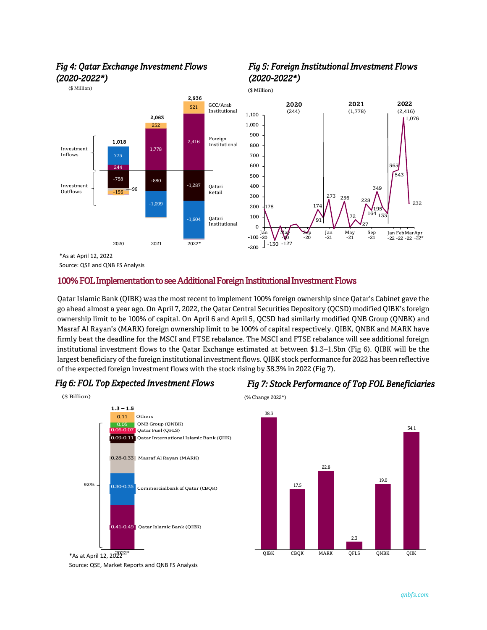

# *Fig 4: Qatar Exchange Investment Flows (2020-2022\*)*

(\$ Million)

**Source: QSE and QNB FS Analysis**<br> **10001 TOT T** 

### 100% FOL Implementation to see Additional Foreign Institutional Investment Flows

Qatar Islamic Bank (QIBK) was the most recent to implement 100% foreign ownership since Qatar's Cabinet gave the go ahead almost a year ago. On April 7, 2022, the Qatar Central Securities Depository (QCSD) modified QIBK's foreign ownership limit to be 100% of capital. On April 6 and April 5, QCSD had similarly modified QNB Group (QNBK) and Masraf Al Rayan's (MARK) foreign ownership limit to be 100% of capital respectively. QIBK, QNBK and MARK have firmly beat the deadline for the MSCI and FTSE rebalance. The MSCI and FTSE rebalance will see additional foreign institutional investment flows to the Qatar Exchange estimated at between \$1.3–1.5bn (Fig 6). QIBK will be the largest beneficiary of the foreign institutional investment flows. QIBK stock performance for 2022 has been reflective of the expected foreign investment flows with the stock rising by 38.3% in 2022 (Fig 7).







\*As at April 12,  $20^{2022*}$ Source: QSE, Market Reports and QNB FS Analysis





# *Fig 5: Foreign Institutional Investment Flows (2020-2022\*)*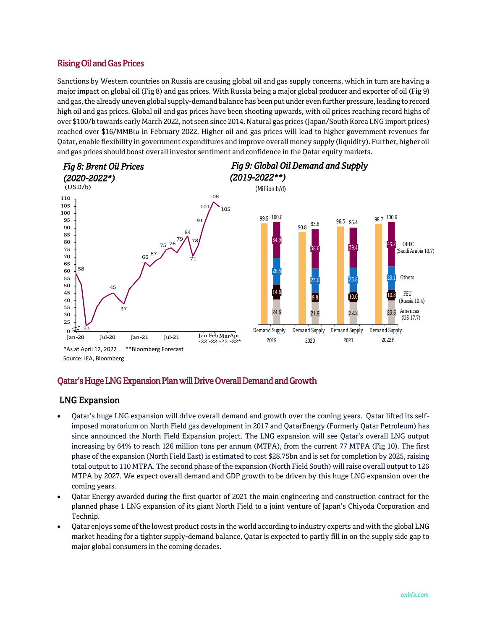### Rising Oil and Gas Prices

Sanctions by Western countries on Russia are causing global oil and gas supply concerns, which in turn are having a major impact on global oil (Fig 8) and gas prices. With Russia being a major global producer and exporter of oil (Fig 9) and gas, the already uneven global supply-demand balance has been put under even further pressure, leading to record high oil and gas prices. Global oil and gas prices have been shooting upwards, with oil prices reaching record highs of over \$100/b towards early March 2022, not seen since 2014. Natural gas prices (Japan/South Korea LNG import prices) reached over \$16/MMBtu in February 2022. Higher oil and gas prices will lead to higher government revenues for Qatar, enable flexibility in government expenditures and improve overall money supply (liquidity). Further, higher oil and gas prices should boost overall investor sentiment and confidence in the Qatar equity markets.



#### Qatar's Huge LNG Expansion Plan will Drive Overall Demand and Growth Source: MSCI

# LNG Expansion

- Qatar's huge LNG expansion will drive overall demand and growth over the coming years. Qatar lifted its selfimposed moratorium on North Field gas development in 2017 and QatarEnergy (Formerly Qatar Petroleum) has since announced the North Field Expansion project. The LNG expansion will see Qatar's overall LNG output increasing by 64% to reach 126 million tons per annum (MTPA), from the current 77 MTPA (Fig 10). The first phase of the expansion (North Field East) is estimated to cost \$28.75bn and is set for completion by 2025, raising total output to 110 MTPA. The second phase of the expansion (North Field South) will raise overall output to 126 MTPA by 2027. We expect overall demand and GDP growth to be driven by this huge LNG expansion over the coming years.
- Qatar Energy awarded during the first quarter of 2021 the main engineering and construction contract for the planned phase 1 LNG expansion of its giant North Field to a joint venture of Japan's Chiyoda Corporation and Technip.
- Qatar enjoys some of the lowest product costs in the world according to industry experts and with the global LNG market heading for a tighter supply-demand balance, Qatar is expected to partly fill in on the supply side gap to major global consumers in the coming decades.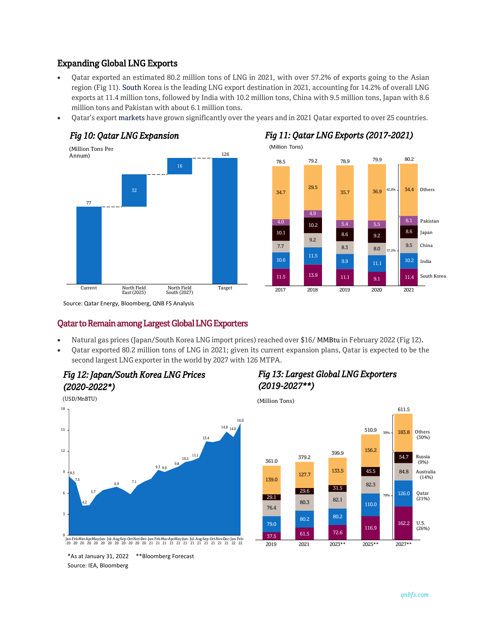# Expanding Global LNG Exports

- Qatar exported an estimated 80.2 million tons of LNG in 2021, with over 57.2% of exports going to the Asian region (Fig 11). South Korea is the leading LNG export destination in 2021, accounting for 14.2% of overall LNG exports at 11.4 million tons, followed by India with 10.2 million tons, China with 9.5 million tons, Japan with 8.6 million tons and Pakistan with about 6.1 million tons.
- Qatar's export markets have grown significantly over the years and in 2021 Qatar exported to over 25 countries.





### Qatar to Remain among Largest Global LNG Exporters

- Natural gas prices (Japan/South Korea LNG import prices) reached over \$16/ MMBtu in February 2022 (Fig 12).
- Qatar exported 80.2 million tons of LNG in 2021; given its current expansion plans, Qatar is expected to be the second largest LNG exporter in the world by 2027 with 126 MTPA.



# *Fig 13: Largest Global LNG Exporters (2019-2027\*\*)*



\*As at January 31, 2022 \*\*Bloomberg Forecast

Source: IEA, Bloomberg

0

3